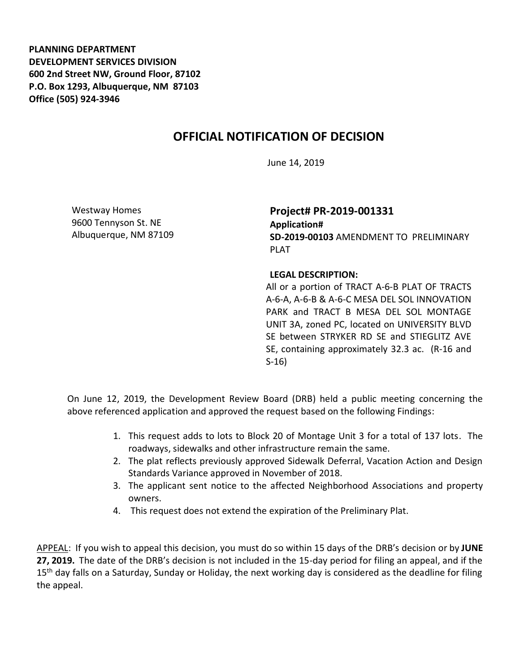**PLANNING DEPARTMENT DEVELOPMENT SERVICES DIVISION 600 2nd Street NW, Ground Floor, 87102 P.O. Box 1293, Albuquerque, NM 87103 Office (505) 924-3946** 

## **OFFICIAL NOTIFICATION OF DECISION**

June 14, 2019

Westway Homes 9600 Tennyson St. NE Albuquerque, NM 87109 **Project# PR-2019-001331 Application# SD-2019-00103** AMENDMENT TO PRELIMINARY PLAT

## **LEGAL DESCRIPTION:**

All or a portion of TRACT A-6-B PLAT OF TRACTS A-6-A, A-6-B & A-6-C MESA DEL SOL INNOVATION PARK and TRACT B MESA DEL SOL MONTAGE UNIT 3A, zoned PC, located on UNIVERSITY BLVD SE between STRYKER RD SE and STIEGLITZ AVE SE, containing approximately 32.3 ac. (R-16 and S-16)

On June 12, 2019, the Development Review Board (DRB) held a public meeting concerning the above referenced application and approved the request based on the following Findings:

- 1. This request adds to lots to Block 20 of Montage Unit 3 for a total of 137 lots. The roadways, sidewalks and other infrastructure remain the same.
- 2. The plat reflects previously approved Sidewalk Deferral, Vacation Action and Design Standards Variance approved in November of 2018.
- 3. The applicant sent notice to the affected Neighborhood Associations and property owners.
- 4. This request does not extend the expiration of the Preliminary Plat.

APPEAL: If you wish to appeal this decision, you must do so within 15 days of the DRB's decision or by **JUNE 27, 2019.** The date of the DRB's decision is not included in the 15-day period for filing an appeal, and if the 15<sup>th</sup> day falls on a Saturday, Sunday or Holiday, the next working day is considered as the deadline for filing the appeal.